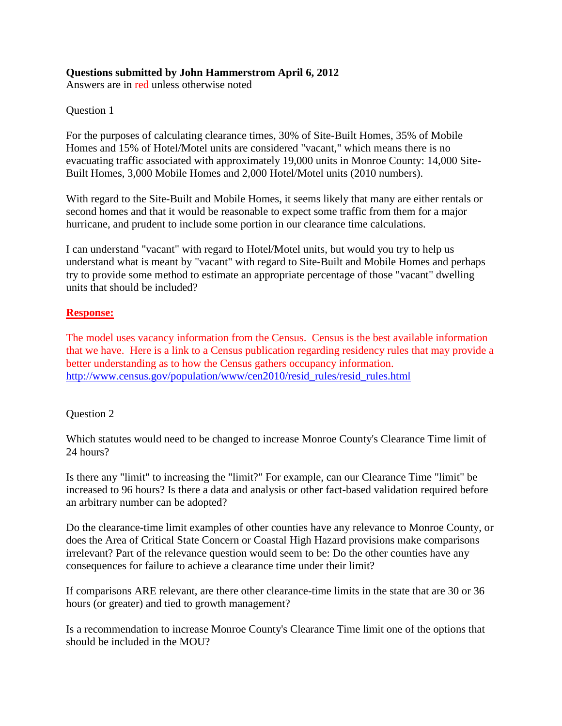## **Questions submitted by John Hammerstrom April 6, 2012**

Answers are in red unless otherwise noted

Question 1

For the purposes of calculating clearance times, 30% of Site-Built Homes, 35% of Mobile Homes and 15% of Hotel/Motel units are considered "vacant," which means there is no evacuating traffic associated with approximately 19,000 units in Monroe County: 14,000 Site-Built Homes, 3,000 Mobile Homes and 2,000 Hotel/Motel units (2010 numbers).

With regard to the Site-Built and Mobile Homes, it seems likely that many are either rentals or second homes and that it would be reasonable to expect some traffic from them for a major hurricane, and prudent to include some portion in our clearance time calculations.

I can understand "vacant" with regard to Hotel/Motel units, but would you try to help us understand what is meant by "vacant" with regard to Site-Built and Mobile Homes and perhaps try to provide some method to estimate an appropriate percentage of those "vacant" dwelling units that should be included?

### **Response:**

The model uses vacancy information from the Census. Census is the best available information that we have. Here is a link to a Census publication regarding residency rules that may provide a better understanding as to how the Census gathers occupancy information. [http://www.census.gov/population/www/cen2010/resid\\_rules/resid\\_rules.html](http://www.census.gov/population/www/cen2010/resid_rules/resid_rules.html)

### Question 2

Which statutes would need to be changed to increase Monroe County's Clearance Time limit of 24 hours?

Is there any "limit" to increasing the "limit?" For example, can our Clearance Time "limit" be increased to 96 hours? Is there a data and analysis or other fact-based validation required before an arbitrary number can be adopted?

Do the clearance-time limit examples of other counties have any relevance to Monroe County, or does the Area of Critical State Concern or Coastal High Hazard provisions make comparisons irrelevant? Part of the relevance question would seem to be: Do the other counties have any consequences for failure to achieve a clearance time under their limit?

If comparisons ARE relevant, are there other clearance-time limits in the state that are 30 or 36 hours (or greater) and tied to growth management?

Is a recommendation to increase Monroe County's Clearance Time limit one of the options that should be included in the MOU?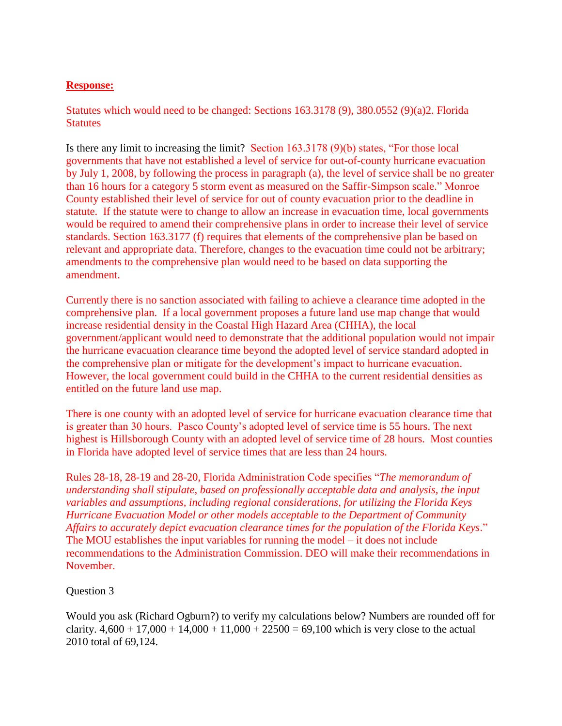## **Response:**

Statutes which would need to be changed: Sections 163.3178 (9), 380.0552 (9)(a)2. Florida **Statutes** 

Is there any limit to increasing the limit? Section 163.3178 (9)(b) states, "For those local governments that have not established a level of service for out-of-county hurricane evacuation by July 1, 2008, by following the process in paragraph (a), the level of service shall be no greater than 16 hours for a category 5 storm event as measured on the Saffir-Simpson scale." Monroe County established their level of service for out of county evacuation prior to the deadline in statute. If the statute were to change to allow an increase in evacuation time, local governments would be required to amend their comprehensive plans in order to increase their level of service standards. Section 163.3177 (f) requires that elements of the comprehensive plan be based on relevant and appropriate data. Therefore, changes to the evacuation time could not be arbitrary; amendments to the comprehensive plan would need to be based on data supporting the amendment.

Currently there is no sanction associated with failing to achieve a clearance time adopted in the comprehensive plan. If a local government proposes a future land use map change that would increase residential density in the Coastal High Hazard Area (CHHA), the local government/applicant would need to demonstrate that the additional population would not impair the hurricane evacuation clearance time beyond the adopted level of service standard adopted in the comprehensive plan or mitigate for the development's impact to hurricane evacuation. However, the local government could build in the CHHA to the current residential densities as entitled on the future land use map.

There is one county with an adopted level of service for hurricane evacuation clearance time that is greater than 30 hours. Pasco County's adopted level of service time is 55 hours. The next highest is Hillsborough County with an adopted level of service time of 28 hours. Most counties in Florida have adopted level of service times that are less than 24 hours.

Rules 28-18, 28-19 and 28-20, Florida Administration Code specifies "*The memorandum of understanding shall stipulate, based on professionally acceptable data and analysis, the input variables and assumptions, including regional considerations, for utilizing the Florida Keys Hurricane Evacuation Model or other models acceptable to the Department of Community Affairs to accurately depict evacuation clearance times for the population of the Florida Keys*." The MOU establishes the input variables for running the model – it does not include recommendations to the Administration Commission. DEO will make their recommendations in November.

### Question 3

Would you ask (Richard Ogburn?) to verify my calculations below? Numbers are rounded off for clarity.  $4,600 + 17,000 + 14,000 + 11,000 + 22500 = 69,100$  which is very close to the actual 2010 total of 69,124.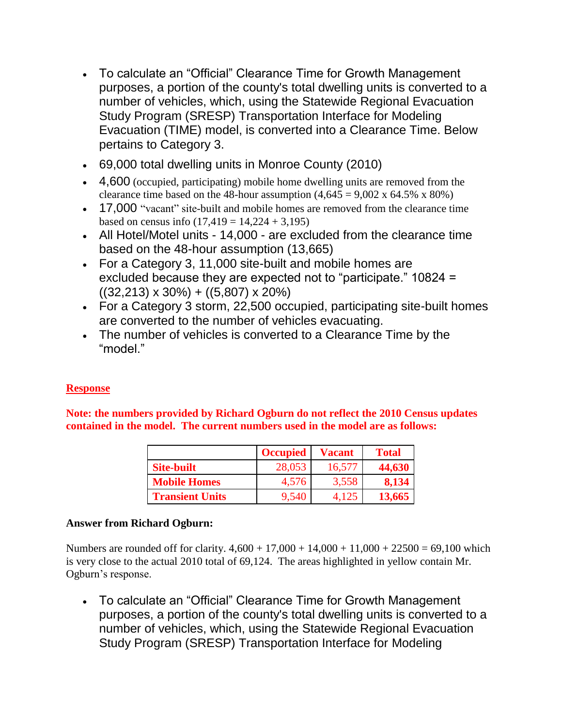- To calculate an "Official" Clearance Time for Growth Management purposes, a portion of the county's total dwelling units is converted to a number of vehicles, which, using the Statewide Regional Evacuation Study Program (SRESP) Transportation Interface for Modeling Evacuation (TIME) model, is converted into a Clearance Time. Below pertains to Category 3.
- 69,000 total dwelling units in Monroe County (2010)
- 4,600 (occupied, participating) mobile home dwelling units are removed from the clearance time based on the 48-hour assumption  $(4,645 = 9,002 \times 64.5\% \times 80\%)$
- 17,000 "vacant" site-built and mobile homes are removed from the clearance time based on census info  $(17, 419 = 14, 224 + 3, 195)$
- All Hotel/Motel units 14,000 are excluded from the clearance time based on the 48-hour assumption (13,665)
- For a Category 3, 11,000 site-built and mobile homes are excluded because they are expected not to "participate." 10824 =  $((32,213) \times 30\%) + ((5,807) \times 20\%)$
- For a Category 3 storm, 22,500 occupied, participating site-built homes are converted to the number of vehicles evacuating.
- The number of vehicles is converted to a Clearance Time by the "model."

# **Response**

**Note: the numbers provided by Richard Ogburn do not reflect the 2010 Census updates contained in the model. The current numbers used in the model are as follows:**

|                        | <b>Occupied</b> | Vacant | <b>Total</b> |
|------------------------|-----------------|--------|--------------|
| <b>Site-built</b>      | 28,053          | 16,577 | 44,630       |
| <b>Mobile Homes</b>    | 4.576           | 3,558  | 8,134        |
| <b>Transient Units</b> | 9.540           |        | 13,665       |

# **Answer from Richard Ogburn:**

Numbers are rounded off for clarity.  $4,600 + 17,000 + 14,000 + 11,000 + 22500 = 69,100$  which is very close to the actual 2010 total of 69,124. The areas highlighted in yellow contain Mr. Ogburn's response.

 To calculate an "Official" Clearance Time for Growth Management purposes, a portion of the county's total dwelling units is converted to a number of vehicles, which, using the Statewide Regional Evacuation Study Program (SRESP) Transportation Interface for Modeling